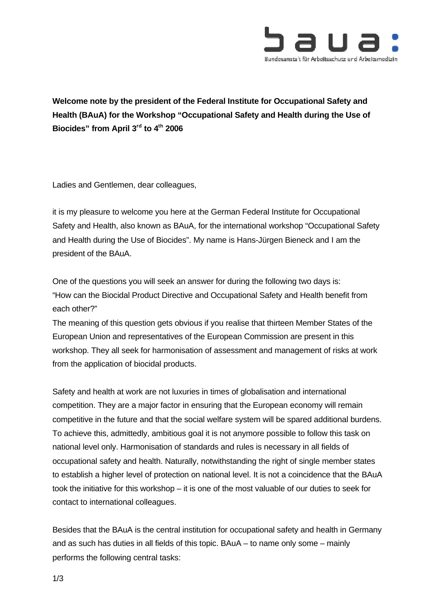

**Welcome note by the president of the Federal Institute for Occupational Safety and Health (BAuA) for the Workshop "Occupational Safety and Health during the Use of Biocides" from April 3rd to 4th 2006**

Ladies and Gentlemen, dear colleagues,

it is my pleasure to welcome you here at the German Federal Institute for Occupational Safety and Health, also known as BAuA, for the international workshop "Occupational Safety and Health during the Use of Biocides". My name is Hans-Jürgen Bieneck and I am the president of the BAuA.

One of the questions you will seek an answer for during the following two days is: "How can the Biocidal Product Directive and Occupational Safety and Health benefit from each other?"

The meaning of this question gets obvious if you realise that thirteen Member States of the European Union and representatives of the European Commission are present in this workshop. They all seek for harmonisation of assessment and management of risks at work from the application of biocidal products.

Safety and health at work are not luxuries in times of globalisation and international competition. They are a major factor in ensuring that the European economy will remain competitive in the future and that the social welfare system will be spared additional burdens. To achieve this, admittedly, ambitious goal it is not anymore possible to follow this task on national level only. Harmonisation of standards and rules is necessary in all fields of occupational safety and health. Naturally, notwithstanding the right of single member states to establish a higher level of protection on national level. It is not a coincidence that the BAuA took the initiative for this workshop – it is one of the most valuable of our duties to seek for contact to international colleagues.

Besides that the BAuA is the central institution for occupational safety and health in Germany and as such has duties in all fields of this topic. BAuA – to name only some – mainly performs the following central tasks: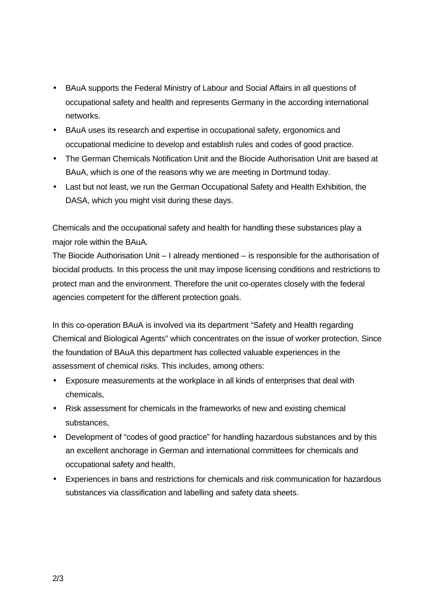- BAuA supports the Federal Ministry of Labour and Social Affairs in all questions of occupational safety and health and represents Germany in the according international networks.
- BAuA uses its research and expertise in occupational safety, ergonomics and occupational medicine to develop and establish rules and codes of good practice.
- The German Chemicals Notification Unit and the Biocide Authorisation Unit are based at BAuA, which is one of the reasons why we are meeting in Dortmund today.
- Last but not least, we run the German Occupational Safety and Health Exhibition, the DASA, which you might visit during these days.

Chemicals and the occupational safety and health for handling these substances play a major role within the BAuA.

The Biocide Authorisation Unit – I already mentioned – is responsible for the authorisation of biocidal products. In this process the unit may impose licensing conditions and restrictions to protect man and the environment. Therefore the unit co-operates closely with the federal agencies competent for the different protection goals.

In this co-operation BAuA is involved via its department "Safety and Health regarding Chemical and Biological Agents" which concentrates on the issue of worker protection. Since the foundation of BAuA this department has collected valuable experiences in the assessment of chemical risks. This includes, among others:

- Exposure measurements at the workplace in all kinds of enterprises that deal with chemicals,
- Risk assessment for chemicals in the frameworks of new and existing chemical substances,
- Development of "codes of good practice" for handling hazardous substances and by this an excellent anchorage in German and international committees for chemicals and occupational safety and health,
- Experiences in bans and restrictions for chemicals and risk communication for hazardous substances via classification and labelling and safety data sheets.